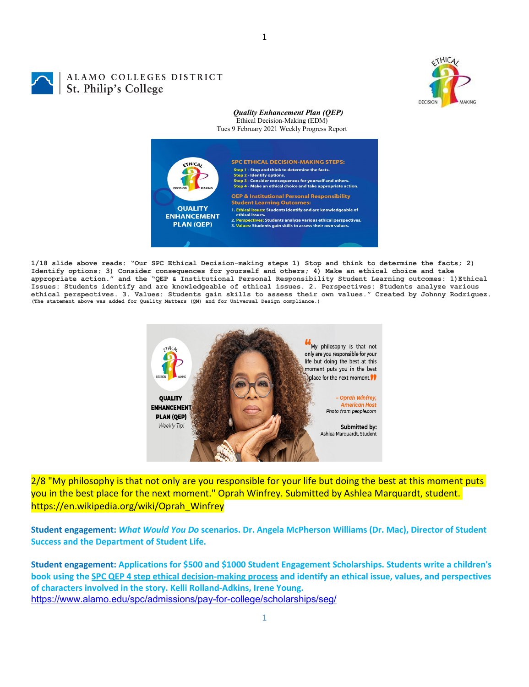

# ALAMO COLLEGES DISTRICT St. Philip's College

#### *Quality Enhancement Plan (QEP)* Ethical Decision-Making (EDM)

Tues 9 February 2021 Weekly Progress Report



**1/18 slide above reads: "Our SPC Ethical Decision-making steps 1) Stop and think to determine the facts; 2) Identify options; 3) Consider consequences for yourself and others; 4) Make an ethical choice and take appropriate action." and the "QEP & Institutional Personal Responsibility Student Learning outcomes: 1)Ethical Issues: Students identify and are knowledgeable of ethical issues. 2. Perspectives: Students analyze various**  ethical perspectives. 3. Values: Students gain skills to assess their own values." Created by Johnny Rodriguez.<br>(The statement above was added for Quality Matters (QM) and for Universal Design compliance.)



2/8 "My philosophy is that not only are you responsible for your life but doing the best at this moment puts you in the best place for the next moment." Oprah Winfrey. Submitted by Ashlea Marquardt, student. https://en.wikipedia.org/wiki/Oprah\_Winfrey

**Student engagement:** *What Would You Do* **scenarios. Dr. Angela McPherson Williams (Dr. Mac), Director of Student Success and the Department of Student Life.**

**Student engagement: Applications for \$500 and \$1000 Student Engagement Scholarships. Students write a children's book using the [SPC QEP 4 step ethical decision-making process](https://mail.alamo.edu/owa/redir.aspx?REF=QPGGgOE-3HbbrbCAzqBFQWbtY3e2Gc0f0qSFld99-4hqZWSPr8DYCAFodHRwczovL3d3dy5hbGFtby5lZHUvbGluay8zYjg5NjQxMTY3MGY0YTZlYjU2MzNkNGFmNjE1OTBjNC5hc3B4) and identify an ethical issue, values, and perspectives of characters involved in the story. Kelli Rolland-Adkins, Irene Young.** <https://www.alamo.edu/spc/admissions/pay-for-college/scholarships/seg/>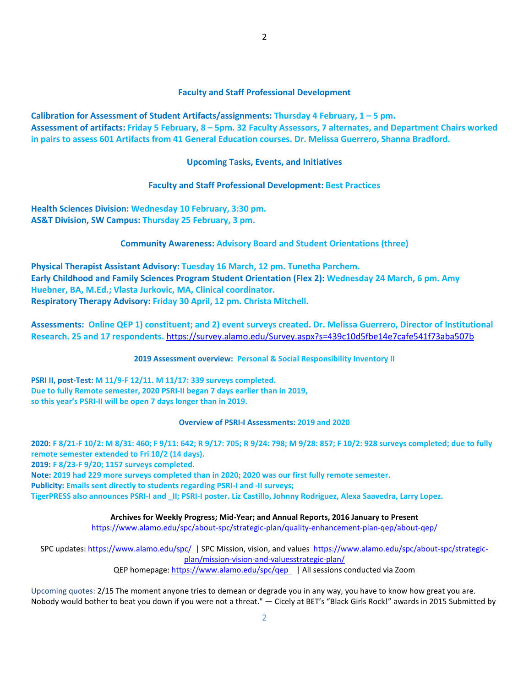## **Faculty and Staff Professional Development**

**Calibration for Assessment of Student Artifacts/assignments: Thursday 4 February, 1 – 5 pm. Assessment of artifacts: Friday 5 February, 8 – 5pm. 32 Faculty Assessors, 7 alternates, and Department Chairs worked in pairs to assess 601 Artifacts from 41 General Education courses. Dr. Melissa Guerrero, Shanna Bradford.**

## **Upcoming Tasks, Events, and Initiatives**

## **Faculty and Staff Professional Development: Best Practices**

**Health Sciences Division: Wednesday 10 February, 3:30 pm. AS&T Division, SW Campus: Thursday 25 February, 3 pm.**

#### **Community Awareness: Advisory Board and Student Orientations (three)**

**Physical Therapist Assistant Advisory: Tuesday 16 March, 12 pm. Tunetha Parchem. Early Childhood and Family Sciences Program Student Orientation (Flex 2): Wednesday 24 March, 6 pm. Amy Huebner, BA, M.Ed.; Vlasta Jurkovic, MA, Clinical coordinator. Respiratory Therapy Advisory: Friday 30 April, 12 pm. Christa Mitchell.**

**Assessments: Online QEP 1) constituent; and 2) event surveys created. Dr. Melissa Guerrero, Director of Institutional Research. 25 and 17 respondents.** <https://survey.alamo.edu/Survey.aspx?s=439c10d5fbe14e7cafe541f73aba507b>

#### **2019 Assessment overview: Personal & Social Responsibility Inventory II**

**PSRI II, post-Test: M 11/9-F 12/11. M 11/17: 339 surveys completed. Due to fully Remote semester, 2020 PSRI-II began 7 days earlier than in 2019, so this year's PSRI-II will be open 7 days longer than in 2019.**

#### **Overview of PSRI-I Assessments: 2019 and 2020**

**2020: F 8/21-F 10/2: M 8/31: 460; F 9/11: 642; R 9/17: 705; R 9/24: 798; M 9/28: 857; F 10/2: 928 surveys completed; due to fully remote semester extended to Fri 10/2 (14 days). 2019: F 8/23-F 9/20; 1157 surveys completed. Note: 2019 had 229 more surveys completed than in 2020; 2020 was our first fully remote semester. Publicity: Emails sent directly to students regarding PSRI-I and -II surveys; TigerPRESS also announces PSRI-I and \_II; PSRI-I poster. Liz Castillo, Johnny Rodriguez, Alexa Saavedra, Larry Lopez.** 

**Archives for Weekly Progress; Mid-Year; and Annual Reports, 2016 January to Present**

<https://www.alamo.edu/spc/about-spc/strategic-plan/quality-enhancement-plan-qep/about-qep/>

SPC updates:<https://www.alamo.edu/spc/>| SPC Mission, vision, and values [https://www.alamo.edu/spc/about-spc/strategic](https://www.alamo.edu/spc/about-spc/strategic-plan/mission-vision-and-valuesstrategic-plan/)[plan/mission-vision-and-valuesstrategic-plan/](https://www.alamo.edu/spc/about-spc/strategic-plan/mission-vision-and-valuesstrategic-plan/)

QEP homepage[: https://www.alamo.edu/spc/qep](https://www.alamo.edu/spc/qep) | All sessions conducted via Zoom

Upcoming quotes: 2/15 The moment anyone tries to demean or degrade you in any way, you have to know how great you are. Nobody would bother to beat you down if you were not a threat." — Cicely at BET's "Black Girls Rock!" awards in 2015 Submitted by